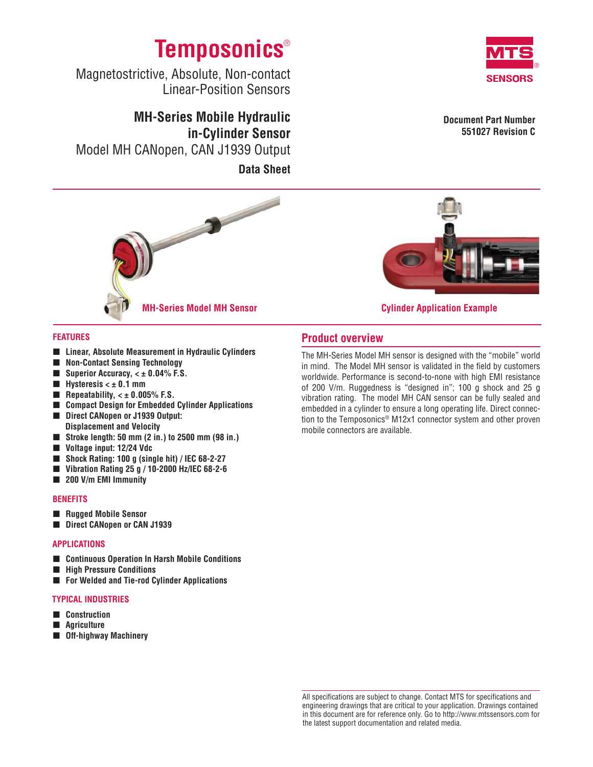

**Document Part Number 551027 Revision C**

# **Temposonics**®

Magnetostrictive, Absolute, Non-contact Linear-Position Sensors

**MH-Series Mobile Hydraulic in-Cylinder Sensor** Model MH CANopen, CAN J1939 Output **Data Sheet**

 $\rightarrow$ 



## **MH-Series Model MH Sensor Cylinder Application Example**

#### **FEATURES**

- **Linear, Absolute Measurement in Hydraulic Cylinders**
- **Non-Contact Sensing Technology**
- **Superior Accuracy, < ± 0.04% F.S.**
- **Hysteresis < ± 0.1 mm**
- Repeatability, < ± 0.005% F.S.
- **Compact Design for Embedded Cylinder Applications**
- Direct CANopen or J1939 Output:  **Displacement and Velocity**
- **Stroke length: 50 mm (2 in.) to 2500 mm (98 in.)**
- **Voltage input: 12/24 Vdc**
- Shock Rating: 100 g (single hit) / IEC 68-2-27
- **Vibration Rating 25 g / 10-2000 Hz/IEC 68-2-6**
- **200 V/m EMI Immunity**

#### **BENEFITS**

- **Rugged Mobile Sensor**
- **Direct CANopen or CAN J1939**

#### **APPLICATIONS**

- **Continuous Operation In Harsh Mobile Conditions**
- **High Pressure Conditions**
- **For Welded and Tie-rod Cylinder Applications**

#### **TYPICAL INDUSTRIES**

- **Construction**
- **Agriculture**
- **Off-highway Machinery**

## **Product overview**

The MH-Series Model MH sensor is designed with the "mobile" world in mind. The Model MH sensor is validated in the field by customers worldwide. Performance is second-to-none with high EMI resistance of 200 V/m. Ruggedness is "designed in"; 100 g shock and 25 g vibration rating. The model MH CAN sensor can be fully sealed and embedded in a cylinder to ensure a long operating life. Direct connection to the Temposonics® M12x1 connector system and other proven mobile connectors are available.

All specifications are subject to change. Contact MTS for specifications and engineering drawings that are critical to your application. Drawings contained in this document are for reference only. Go to http://www.mtssensors.com for the latest support documentation and related media.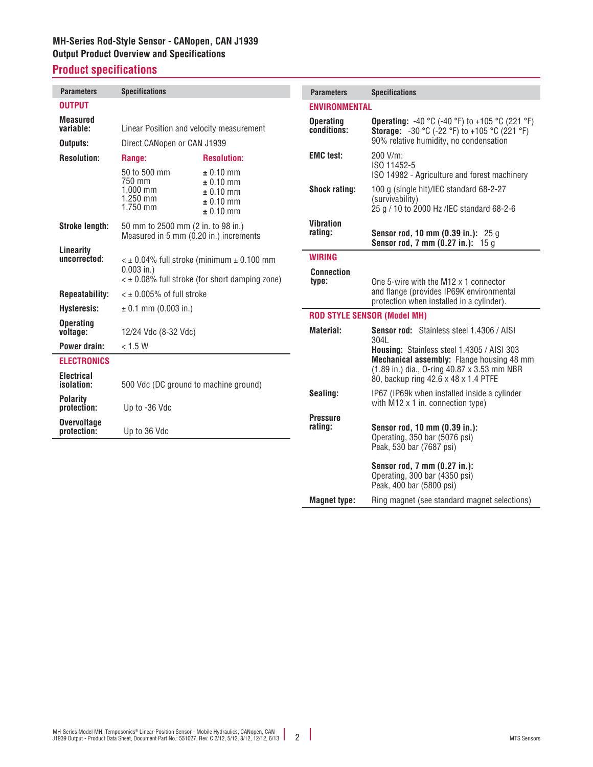## **Product specifications**

| <b>Parameters</b>                 | <b>Specifications</b>                                                                                                     |                                                                           | <b>Parameters</b>               | <b>Specifications</b>                                                                                                                                    |  |
|-----------------------------------|---------------------------------------------------------------------------------------------------------------------------|---------------------------------------------------------------------------|---------------------------------|----------------------------------------------------------------------------------------------------------------------------------------------------------|--|
| <b>OUTPUT</b>                     |                                                                                                                           |                                                                           | <b>ENVIRONMENTAL</b>            |                                                                                                                                                          |  |
| <b>Measured</b><br>variable:      | Linear Position and velocity measurement                                                                                  |                                                                           | <b>Operating</b><br>conditions: | <b>Operating:</b> -40 °C (-40 °F) to +105 °C (221 °F)<br><b>Storage:</b> -30 °C (-22 °F) to +105 °C (221 °F)                                             |  |
| Outputs:                          | Direct CANopen or CAN J1939                                                                                               |                                                                           |                                 | 90% relative humidity, no condensation                                                                                                                   |  |
| <b>Resolution:</b>                | Range:                                                                                                                    | <b>Resolution:</b>                                                        | <b>EMC</b> test:                | 200 V/m:<br>ISO 11452-5                                                                                                                                  |  |
|                                   | 50 to 500 mm<br>750 mm<br>$1.000$ mm<br>$1.250$ mm<br>$1.750$ mm                                                          | $\pm 0.10$ mm<br>$± 0.10$ mm<br>$± 0.10$ mm<br>$± 0.10$ mm<br>$± 0.10$ mm | <b>Shock rating:</b>            | ISO 14982 - Agriculture and forest machinery<br>100 g (single hit)/IEC standard 68-2-27<br>(survivability)<br>25 g / 10 to 2000 Hz / IEC standard 68-2-6 |  |
| <b>Stroke length:</b>             | 50 mm to 2500 mm (2 in. to 98 in.)<br>Measured in 5 mm (0.20 in.) increments                                              |                                                                           | <b>Vibration</b><br>rating:     | <b>Sensor rod, 10 mm (0.39 in.): 25 g</b><br>Sensor rod, 7 mm (0.27 in.): 15 g                                                                           |  |
| Linearity<br>uncorrected:         | $\leq$ ± 0.04% full stroke (minimum $\pm$ 0.100 mm<br>$0.003$ in.)<br>$\leq$ ± 0.08% full stroke (for short damping zone) |                                                                           | <b>WIRING</b>                   |                                                                                                                                                          |  |
|                                   |                                                                                                                           |                                                                           | <b>Connection</b><br>type:      | One 5-wire with the M12 x 1 connector<br>and flange (provides IP69K environmental<br>protection when installed in a cylinder).                           |  |
| <b>Repeatability:</b>             |                                                                                                                           | $\leq$ ± 0.005% of full stroke                                            |                                 |                                                                                                                                                          |  |
| <b>Hysteresis:</b>                | $\pm$ 0.1 mm (0.003 in.)<br><b>ROD STYLE SENSOR (Model MH)</b>                                                            |                                                                           |                                 |                                                                                                                                                          |  |
| <b>Operating</b><br>voltage:      | 12/24 Vdc (8-32 Vdc)<br>$< 1.5 W$                                                                                         |                                                                           | <b>Material:</b>                | Sensor rod: Stainless steel 1.4306 / AISI<br>3041<br><b>Housing: Stainless steel 1.4305 / AISI 303</b>                                                   |  |
| Power drain:                      |                                                                                                                           |                                                                           |                                 |                                                                                                                                                          |  |
| <b>ELECTRONICS</b>                |                                                                                                                           |                                                                           |                                 | Mechanical assembly: Flange housing 48 mm<br>(1.89 in.) dia., O-ring 40.87 x 3.53 mm NBR                                                                 |  |
| <b>Electrical</b><br>isolation:   | 500 Vdc (DC ground to machine ground)                                                                                     |                                                                           |                                 | 80, backup ring 42.6 x 48 x 1.4 PTFE                                                                                                                     |  |
| <b>Polarity</b><br>protection:    | Up to -36 Vdc                                                                                                             |                                                                           | Sealing:                        | IP67 (IP69k when installed inside a cylinder<br>with $M12 \times 1$ in. connection type)                                                                 |  |
| <b>Overvoltage</b><br>protection: | Up to 36 Vdc                                                                                                              |                                                                           | <b>Pressure</b><br>rating:      | Sensor rod, 10 mm (0.39 in.):<br>Operating, 350 bar (5076 psi)<br>Peak, 530 bar (7687 psi)                                                               |  |
|                                   |                                                                                                                           |                                                                           |                                 | Sensor rod, 7 mm (0.27 in.):<br>Operating, 300 bar (4350 psi)<br>Peak, 400 bar (5800 psi)                                                                |  |

**Magnet type:** Ring magnet (see standard magnet selections)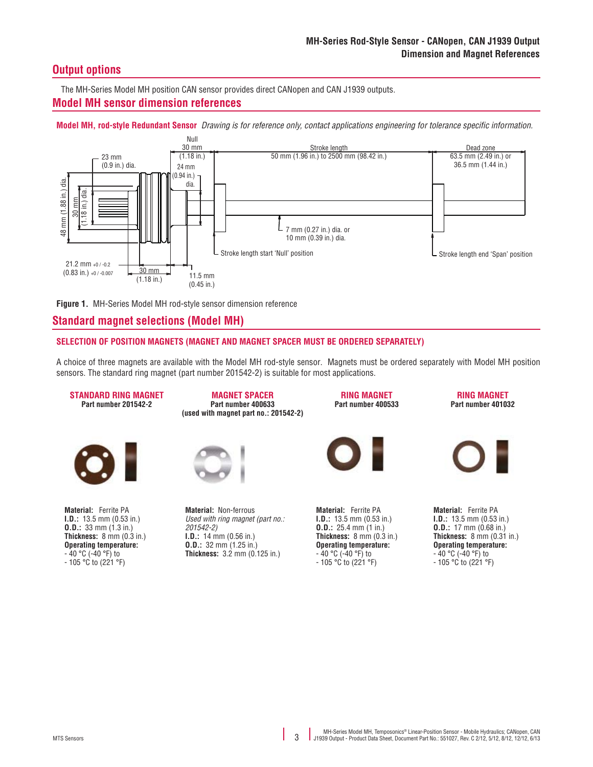## **Output options**

The MH-Series Model MH position CAN sensor provides direct CANopen and CAN J1939 outputs.  **Model MH sensor dimension references**

**Model MH, rod-style Redundant Sensor** *Drawing is for reference only, contact applications engineering for tolerance specific information.*





## **Standard magnet selections (Model MH)**

#### **SELECTION OF POSITION MAGNETS (MAGNET AND MAGNET SPACER MUST BE ORDERED SEPARATELY)**

A choice of three magnets are available with the Model MH rod-style sensor. Magnets must be ordered separately with Model MH position sensors. The standard ring magnet (part number 201542-2) is suitable for most applications.





**RING MAGNET Part number 400533**

**RING MAGNET Part number 401032**



**Material:** Ferrite PA **I.D.:** 13.5 mm (0.53 in.) **O.D.:** 33 mm  $(1.3 \text{ in.})$ **Thickness:** 8 mm (0.3 in.) **Operating temperature:**  - 40 °C (-40 °F) to - 105 °C to (221 °F)



**Material:** Non-ferrous *Used with ring magnet (part no.: 201542-2)* **I.D.:** 14 mm (0.56 in.) **O.D.:** 32 mm (1.25 in.) **Thickness:** 3.2 mm (0.125 in.)

**Material:** Ferrite PA **I.D.:** 13.5 mm (0.53 in.) **0.D.:** 25.4 mm (1 in.) **Thickness:** 8 mm (0.3 in.) **Operating temperature:**  - 40 °C (-40 °F) to - 105 °C to (221 °F)

**Material:** Ferrite PA **I.D.:** 13.5 mm (0.53 in.) **O.D.:** 17 mm  $(\dot{0.68}$  in.) **Thickness:** 8 mm (0.31 in.) **Operating temperature:** - 40 °C (-40 °F) to - 105 °C to (221 °F)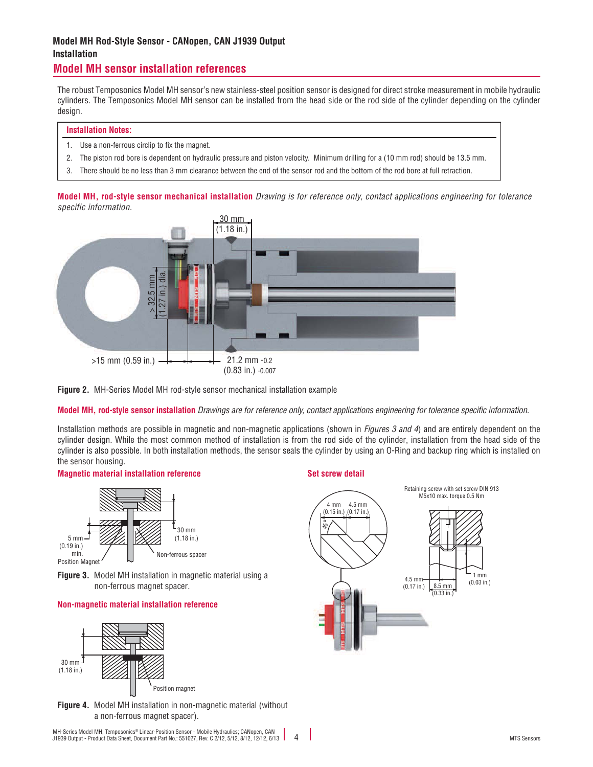## **Model MH Rod-Style Sensor - CANopen, CAN J1939 Output Installation**

## **Model MH sensor installation references**

The robust Temposonics Model MH sensor's new stainless-steel position sensor is designed for direct stroke measurement in mobile hydraulic cylinders. The Temposonics Model MH sensor can be installed from the head side or the rod side of the cylinder depending on the cylinder design.

#### **Installation Notes:**

- 1. Use a non-ferrous circlip to fix the magnet.
- 2. The piston rod bore is dependent on hydraulic pressure and piston velocity. Minimum drilling for a (10 mm rod) should be 13.5 mm.
- 3. There should be no less than 3 mm clearance between the end of the sensor rod and the bottom of the rod bore at full retraction.

**Model MH, rod-style sensor mechanical installation** *Drawing is for reference only, contact applications engineering for tolerance specific information.*



**Figure 2.** MH-Series Model MH rod-style sensor mechanical installation example

**Model MH, rod-style sensor installation** *Drawings are for reference only, contact applications engineering for tolerance specific information.*

Installation methods are possible in magnetic and non-magnetic applications (shown in *Figures 3 and 4*) and are entirely dependent on the cylinder design. While the most common method of installation is from the rod side of the cylinder, installation from the head side of the cylinder is also possible. In both installation methods, the sensor seals the cylinder by using an O-Ring and backup ring which is installed on the sensor housing.

#### **Magnetic material installation reference**



**Figure 3.**  Model MH installation in magnetic material using a non-ferrous magnet spacer.

#### **Non-magnetic material installation reference**



**Figure 4.**  Model MH installation in non-magnetic material (without a non-ferrous magnet spacer).

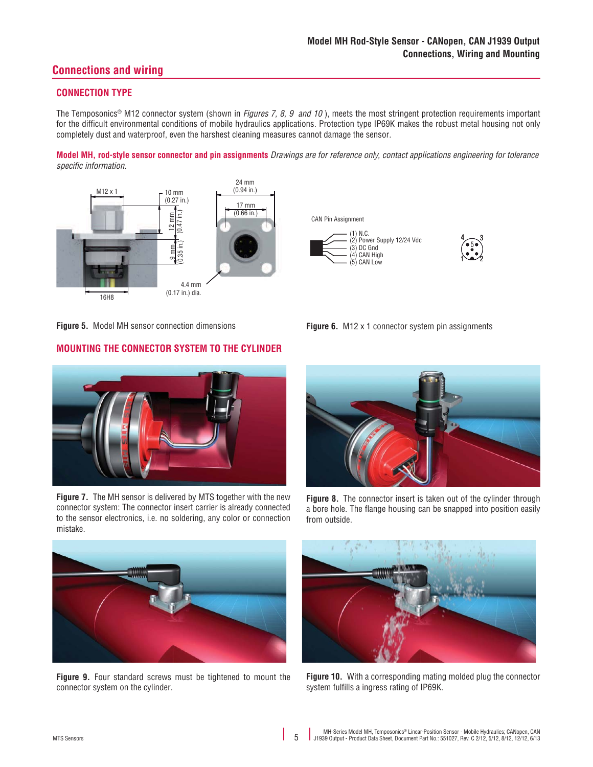## **Connections and wiring**

## **CONNECTION TYPE**

The Temposonics® M12 connector system (shown in *Figures 7, 8, 9 and 10* ), meets the most stringent protection requirements important for the difficult environmental conditions of mobile hydraulics applications. Protection type IP69K makes the robust metal housing not only completely dust and waterproof, even the harshest cleaning measures cannot damage the sensor.

**Model MH, rod-style sensor connector and pin assignments** *Drawings are for reference only, contact applications engineering for tolerance specific information.*





**Figure 6.** M12 x 1 connector system pin assignments

 $\left( \begin{array}{c} 5 \ 3 \end{array} \right)$ 1 2 2

**Figure 5.** Model MH sensor connection dimensions

### **MOUNTING THE CONNECTOR SYSTEM TO THE CYLINDER**



**Figure 7.** The MH sensor is delivered by MTS together with the new connector system: The connector insert carrier is already connected to the sensor electronics, i.e. no soldering, any color or connection mistake.



**Figure 8.** The connector insert is taken out of the cylinder through a bore hole. The flange housing can be snapped into position easily from outside.



**Figure 9.** Four standard screws must be tightened to mount the connector system on the cylinder.



**Figure 10.** With a corresponding mating molded plug the connector system fulfills a ingress rating of IP69K.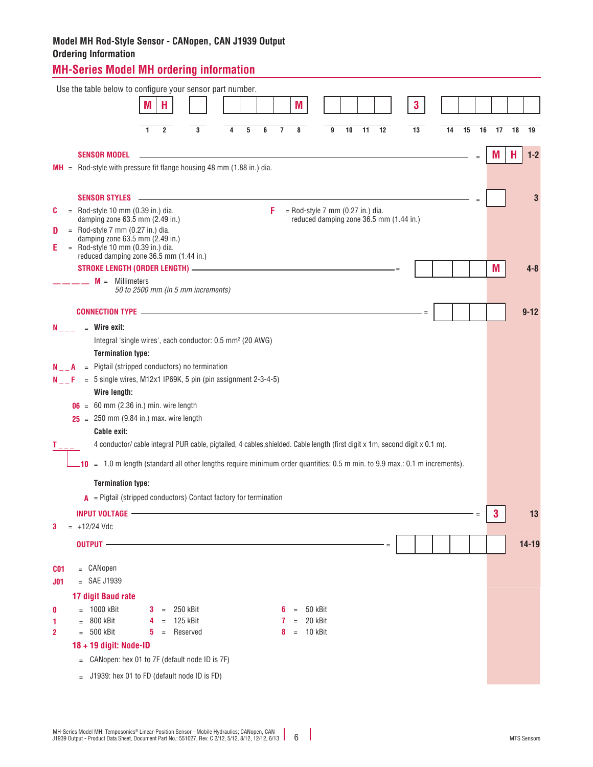## **Model MH Rod-Style Sensor - CANopen, CAN J1939 Output Ordering Information**

| <b>MH-Series Model MH ordering information</b>                                                                                                                                                                                                                                                                           |    |            |
|--------------------------------------------------------------------------------------------------------------------------------------------------------------------------------------------------------------------------------------------------------------------------------------------------------------------------|----|------------|
| Use the table below to configure your sensor part number.                                                                                                                                                                                                                                                                |    |            |
| M<br>$\mathbf{3}$<br>M<br>н                                                                                                                                                                                                                                                                                              |    |            |
| 5<br>6<br>$\overline{7}$<br>8<br>10<br>11<br>15<br>1<br>$\overline{2}$<br>3<br>9<br>12<br>13<br>14<br>16<br>4                                                                                                                                                                                                            | 17 | 18<br>19   |
| <b>SENSOR MODEL</b><br><u> 1989 - Johann Stoff, deutscher Stoff, der Stoff, der Stoff, der Stoff, der Stoff, der Stoff, der Stoff, der S</u>                                                                                                                                                                             | M  | $1-2$<br>н |
| $MH$ = Rod-style with pressure fit flange housing 48 mm (1.88 in.) dia.                                                                                                                                                                                                                                                  |    |            |
|                                                                                                                                                                                                                                                                                                                          |    |            |
| SENSOR STYLES <u>and the contract of the contract of the contract of the contract of the contract of the contract of the contract of the contract of the contract of the contract of the contract of the contract of the contrac</u><br>$F =$ Rod-style 7 mm (0.27 in.) dia.<br>$=$ Rod-style 10 mm (0.39 in.) dia.<br>C |    | 3          |
| damping zone 63.5 mm (2.49 in.)<br>reduced damping zone 36.5 mm (1.44 in.)                                                                                                                                                                                                                                               |    |            |
| $=$ Rod-style 7 mm (0.27 in.) dia.<br>D<br>damping zone 63.5 mm (2.49 in.)                                                                                                                                                                                                                                               |    |            |
| $=$ Rod-style 10 mm (0.39 in.) dia.<br>Е<br>reduced damping zone 36.5 mm (1.44 in.)                                                                                                                                                                                                                                      |    |            |
|                                                                                                                                                                                                                                                                                                                          | M  | $4 - 8$    |
| $M =$ Millimeters<br>50 to 2500 mm (in 5 mm increments)                                                                                                                                                                                                                                                                  |    |            |
|                                                                                                                                                                                                                                                                                                                          |    | $9 - 12$   |
| $=$ Wire exit:<br>$N_{\rm{---}}$                                                                                                                                                                                                                                                                                         |    |            |
| Integral 'single wires', each conductor: 0.5 mm <sup>2</sup> (20 AWG)                                                                                                                                                                                                                                                    |    |            |
| <b>Termination type:</b>                                                                                                                                                                                                                                                                                                 |    |            |
| $=$ Pigtail (stripped conductors) no termination<br>N A<br>$= 5$ single wires, M12x1 IP69K, 5 pin (pin assignment 2-3-4-5)<br>N F                                                                                                                                                                                        |    |            |
| Wire length:                                                                                                                                                                                                                                                                                                             |    |            |
| $06 = 60$ mm (2.36 in.) min. wire length                                                                                                                                                                                                                                                                                 |    |            |
| $25 = 250$ mm (9.84 in.) max. wire length                                                                                                                                                                                                                                                                                |    |            |
| Cable exit:<br>4 conductor/ cable integral PUR cable, pigtailed, 4 cables, shielded. Cable length (first digit x 1m, second digit x 0.1 m).                                                                                                                                                                              |    |            |
|                                                                                                                                                                                                                                                                                                                          |    |            |
| $10 = 1.0$ m length (standard all other lengths require minimum order quantities: 0.5 m min. to 9.9 max.: 0.1 m increments).                                                                                                                                                                                             |    |            |
| <b>Termination type:</b>                                                                                                                                                                                                                                                                                                 |    |            |
| $A =$ Pigtail (stripped conductors) Contact factory for termination                                                                                                                                                                                                                                                      |    |            |
| INPUT VOLTAGE -<br>$= +12/24$ Vdc<br>3                                                                                                                                                                                                                                                                                   | 3  | 13         |
|                                                                                                                                                                                                                                                                                                                          |    | $14 - 19$  |
| OUTPUT -<br>$\equiv$                                                                                                                                                                                                                                                                                                     |    |            |
| $=$ CANopen<br>C <sub>01</sub>                                                                                                                                                                                                                                                                                           |    |            |
| $=$ SAE J1939<br>J <sub>01</sub>                                                                                                                                                                                                                                                                                         |    |            |
| 17 digit Baud rate<br>$= 1000$ kBit<br>250 kBit<br>50 kBit<br>3.<br>6<br>$=$<br>$=$                                                                                                                                                                                                                                      |    |            |
| 0<br>800 kBit<br>125 kBit<br>20 kBit<br>4<br>1<br>$\equiv$<br>$=$                                                                                                                                                                                                                                                        |    |            |
| $= 500$ kBit<br>Reserved<br>10 kBit<br>5<br>2<br>$\equiv$<br>8<br>$\equiv$                                                                                                                                                                                                                                               |    |            |
| 18 + 19 digit: Node-ID                                                                                                                                                                                                                                                                                                   |    |            |
| $=$ CANopen: hex 01 to 7F (default node ID is 7F)                                                                                                                                                                                                                                                                        |    |            |
| $=$ J1939: hex 01 to FD (default node ID is FD)                                                                                                                                                                                                                                                                          |    |            |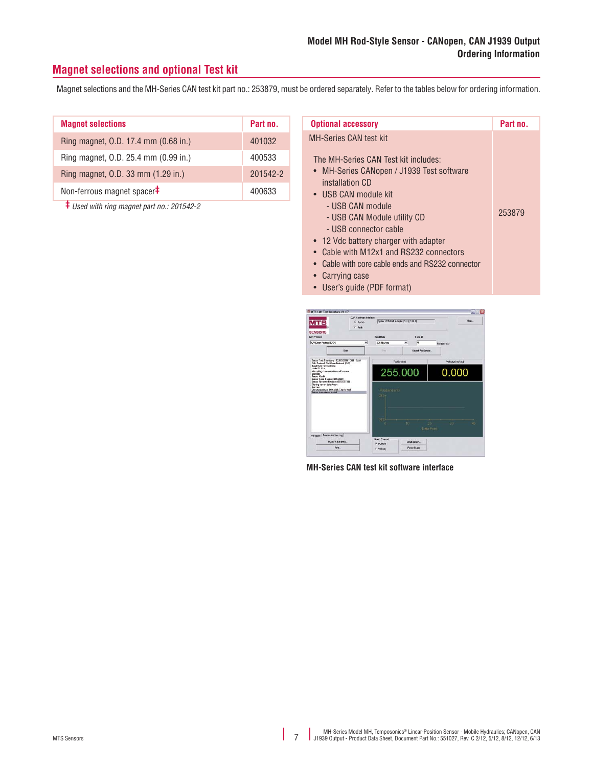## **Magnet selections and optional Test kit**

Magnet selections and the MH-Series CAN test kit part no.: 253879, must be ordered separately. Refer to the tables below for ordering information.

| <b>Magnet selections</b>               | Part no. |  |  |
|----------------------------------------|----------|--|--|
| Ring magnet, O.D. 17.4 mm (0.68 in.)   | 401032   |  |  |
| Ring magnet, 0.D. 25.4 mm (0.99 in.)   | 400533   |  |  |
| Ring magnet, 0.D. 33 mm (1.29 in.)     | 201542-2 |  |  |
| Non-ferrous magnet spacer <sup>‡</sup> | 400633   |  |  |

**‡** *Used with ring magnet part no.: 201542-2*

| <b>Optional accessory</b>                                                                                                                                                                                                                                                                                                                                             | Part no. |
|-----------------------------------------------------------------------------------------------------------------------------------------------------------------------------------------------------------------------------------------------------------------------------------------------------------------------------------------------------------------------|----------|
| <b>MH-Series CAN test kit</b>                                                                                                                                                                                                                                                                                                                                         |          |
| The MH-Series CAN Test kit includes:<br>• MH-Series CANopen / J1939 Test software<br>installation CD<br>$\bullet$ USB CAN module kit<br>- USB CAN module<br>- USB CAN Module utility CD<br>- USB connector cable<br>• 12 Vdc battery charger with adapter<br>Cable with M12x1 and RS232 connectors<br>Cable with core cable ends and RS232 connector<br>Carrying case | 253879   |

• User's guide (PDF format)



**MH-Series CAN test kit software interface**